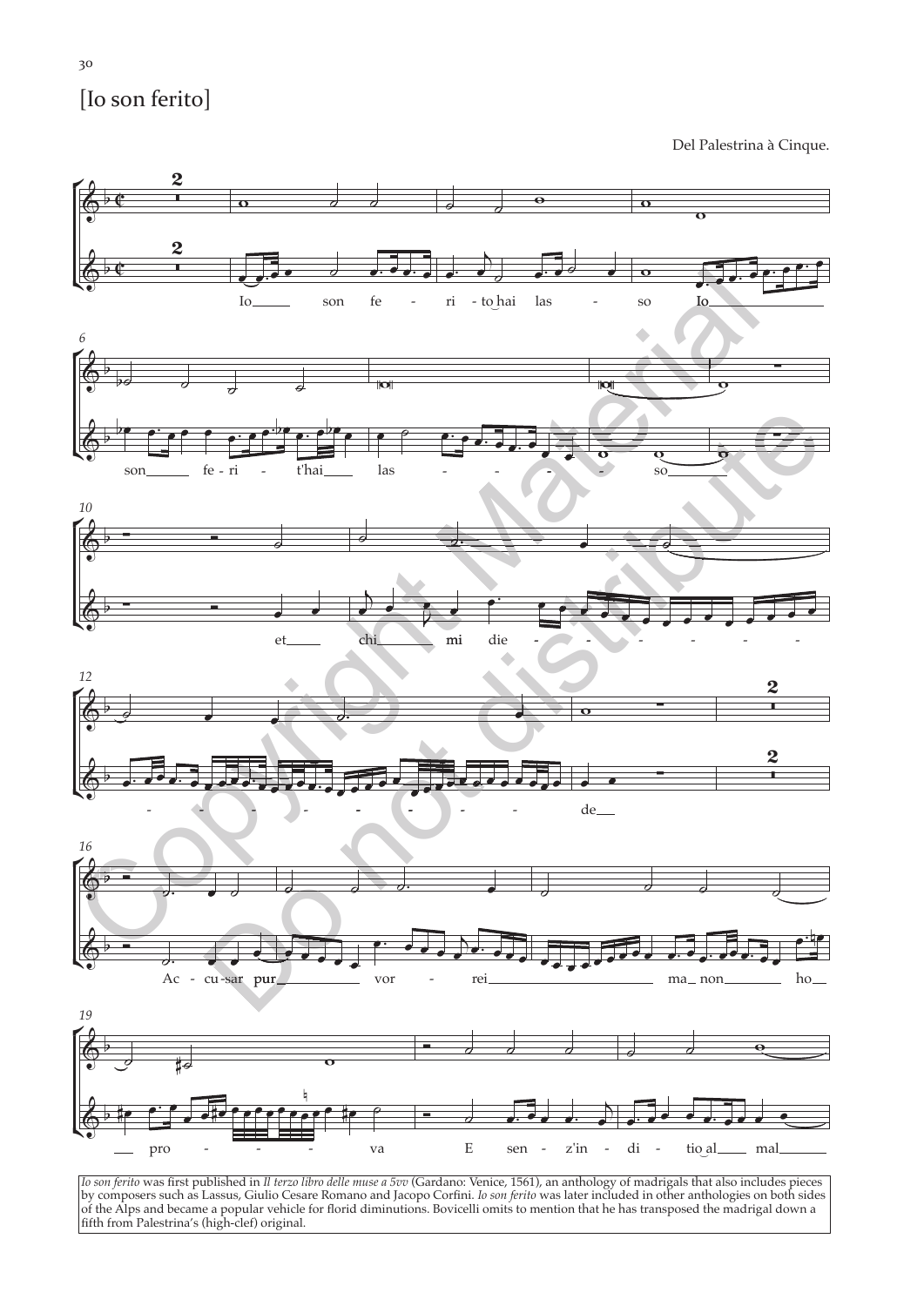## [lo son ferito]

Del Palestrina à Cinque.



Io son ferito was first published in Il terzo libro delle muse a 5vv (Gardano: Venice, 1561), an anthology of madrigals that also includes pieces<br>by composers such as Lassus, Giulio Cesare Romano and Jacopo Corfini. Io son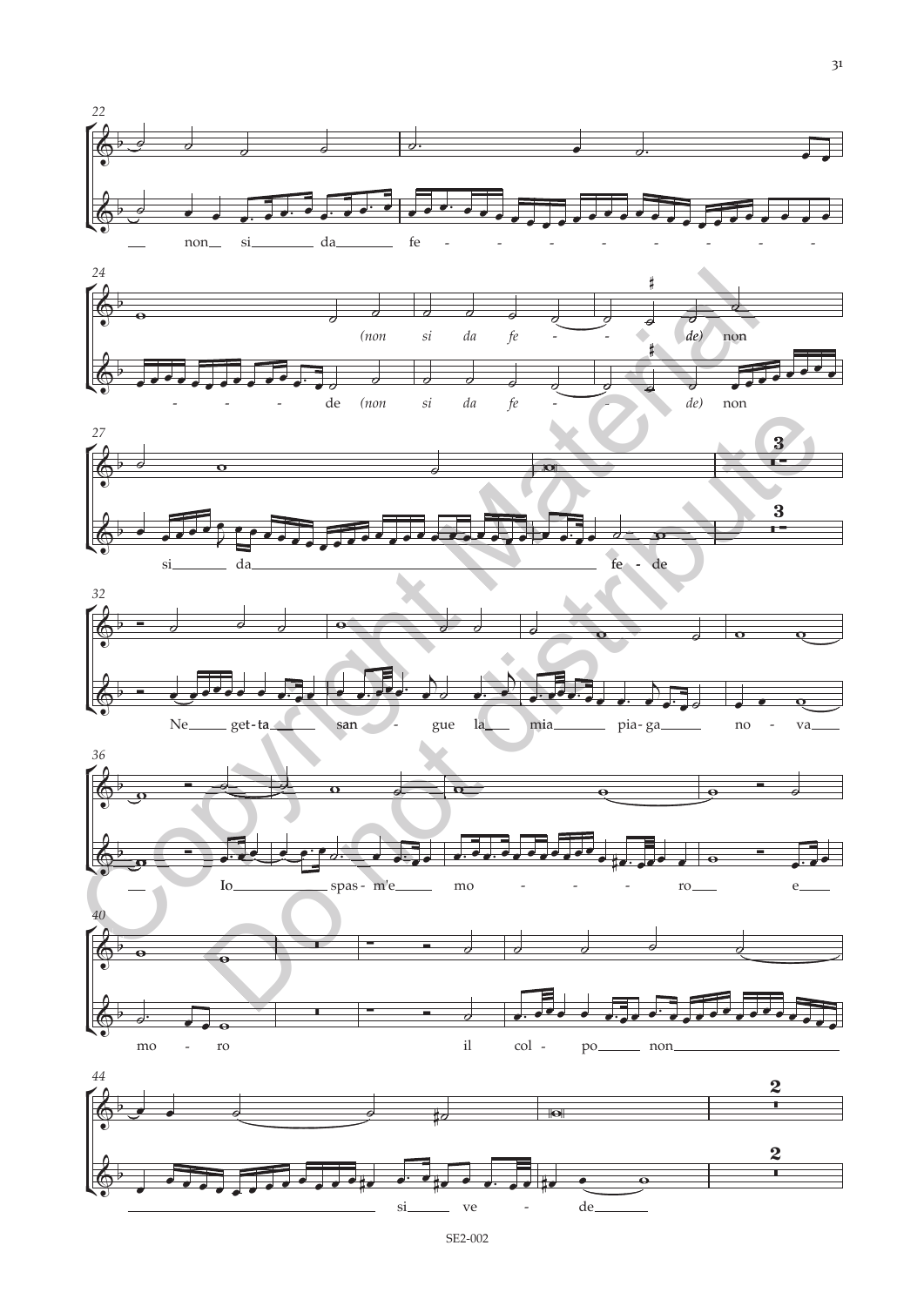

 $3<sup>1</sup>$ 

 $-$  ve SE2-002

 $\overline{a}$ 

si.